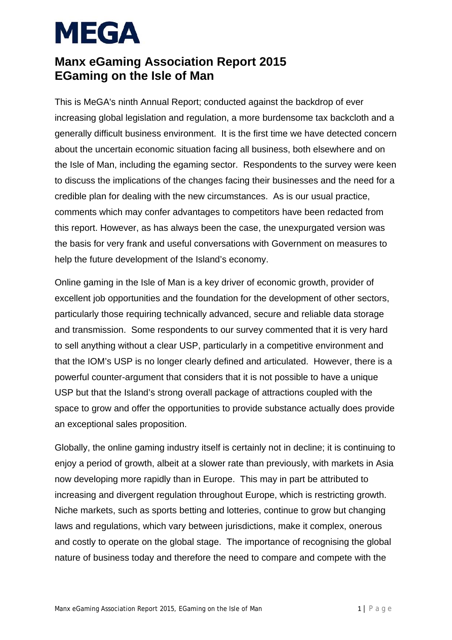#### **Manx eGaming Association Report 2015 EGaming on the Isle of Man**

This is MeGA's ninth Annual Report; conducted against the backdrop of ever increasing global legislation and regulation, a more burdensome tax backcloth and a generally difficult business environment. It is the first time we have detected concern about the uncertain economic situation facing all business, both elsewhere and on the Isle of Man, including the egaming sector. Respondents to the survey were keen to discuss the implications of the changes facing their businesses and the need for a credible plan for dealing with the new circumstances. As is our usual practice, comments which may confer advantages to competitors have been redacted from this report. However, as has always been the case, the unexpurgated version was the basis for very frank and useful conversations with Government on measures to help the future development of the Island's economy.

Online gaming in the Isle of Man is a key driver of economic growth, provider of excellent job opportunities and the foundation for the development of other sectors, particularly those requiring technically advanced, secure and reliable data storage and transmission. Some respondents to our survey commented that it is very hard to sell anything without a clear USP, particularly in a competitive environment and that the IOM's USP is no longer clearly defined and articulated. However, there is a powerful counter-argument that considers that it is not possible to have a unique USP but that the Island's strong overall package of attractions coupled with the space to grow and offer the opportunities to provide substance actually does provide an exceptional sales proposition.

Globally, the online gaming industry itself is certainly not in decline; it is continuing to enjoy a period of growth, albeit at a slower rate than previously, with markets in Asia now developing more rapidly than in Europe. This may in part be attributed to increasing and divergent regulation throughout Europe, which is restricting growth. Niche markets, such as sports betting and lotteries, continue to grow but changing laws and regulations, which vary between jurisdictions, make it complex, onerous and costly to operate on the global stage. The importance of recognising the global nature of business today and therefore the need to compare and compete with the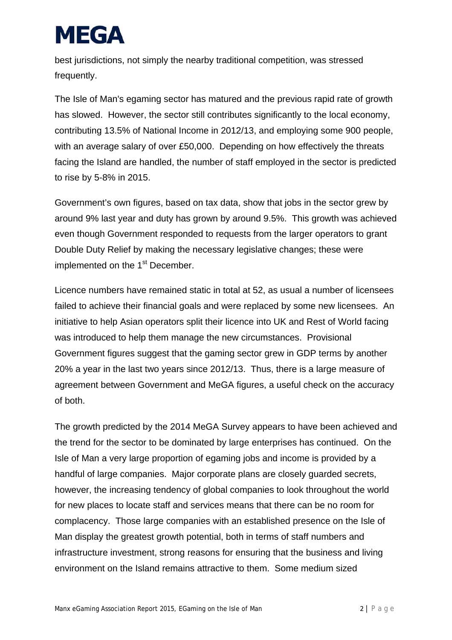best jurisdictions, not simply the nearby traditional competition, was stressed frequently.

The Isle of Man's egaming sector has matured and the previous rapid rate of growth has slowed. However, the sector still contributes significantly to the local economy, contributing 13.5% of National Income in 2012/13, and employing some 900 people, with an average salary of over £50,000. Depending on how effectively the threats facing the Island are handled, the number of staff employed in the sector is predicted to rise by 5-8% in 2015.

Government's own figures, based on tax data, show that jobs in the sector grew by around 9% last year and duty has grown by around 9.5%. This growth was achieved even though Government responded to requests from the larger operators to grant Double Duty Relief by making the necessary legislative changes; these were implemented on the 1<sup>st</sup> December.

Licence numbers have remained static in total at 52, as usual a number of licensees failed to achieve their financial goals and were replaced by some new licensees. An initiative to help Asian operators split their licence into UK and Rest of World facing was introduced to help them manage the new circumstances. Provisional Government figures suggest that the gaming sector grew in GDP terms by another 20% a year in the last two years since 2012/13. Thus, there is a large measure of agreement between Government and MeGA figures, a useful check on the accuracy of both.

The growth predicted by the 2014 MeGA Survey appears to have been achieved and the trend for the sector to be dominated by large enterprises has continued. On the Isle of Man a very large proportion of egaming jobs and income is provided by a handful of large companies. Major corporate plans are closely guarded secrets, however, the increasing tendency of global companies to look throughout the world for new places to locate staff and services means that there can be no room for complacency. Those large companies with an established presence on the Isle of Man display the greatest growth potential, both in terms of staff numbers and infrastructure investment, strong reasons for ensuring that the business and living environment on the Island remains attractive to them. Some medium sized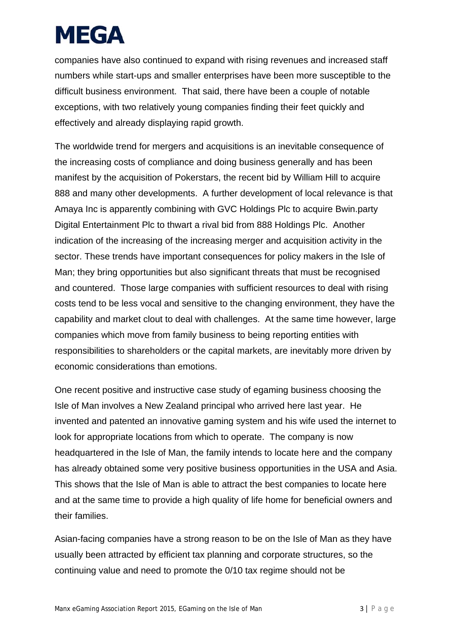companies have also continued to expand with rising revenues and increased staff numbers while start-ups and smaller enterprises have been more susceptible to the difficult business environment. That said, there have been a couple of notable exceptions, with two relatively young companies finding their feet quickly and effectively and already displaying rapid growth.

The worldwide trend for mergers and acquisitions is an inevitable consequence of the increasing costs of compliance and doing business generally and has been manifest by the acquisition of Pokerstars, the recent bid by William Hill to acquire 888 and many other developments. A further development of local relevance is that Amaya Inc is apparently combining with GVC Holdings Plc to acquire Bwin.party Digital Entertainment Plc to thwart a rival bid from 888 Holdings Plc. Another indication of the increasing of the increasing merger and acquisition activity in the sector. These trends have important consequences for policy makers in the Isle of Man; they bring opportunities but also significant threats that must be recognised and countered. Those large companies with sufficient resources to deal with rising costs tend to be less vocal and sensitive to the changing environment, they have the capability and market clout to deal with challenges. At the same time however, large companies which move from family business to being reporting entities with responsibilities to shareholders or the capital markets, are inevitably more driven by economic considerations than emotions.

One recent positive and instructive case study of egaming business choosing the Isle of Man involves a New Zealand principal who arrived here last year. He invented and patented an innovative gaming system and his wife used the internet to look for appropriate locations from which to operate. The company is now headquartered in the Isle of Man, the family intends to locate here and the company has already obtained some very positive business opportunities in the USA and Asia. This shows that the Isle of Man is able to attract the best companies to locate here and at the same time to provide a high quality of life home for beneficial owners and their families.

Asian-facing companies have a strong reason to be on the Isle of Man as they have usually been attracted by efficient tax planning and corporate structures, so the continuing value and need to promote the 0/10 tax regime should not be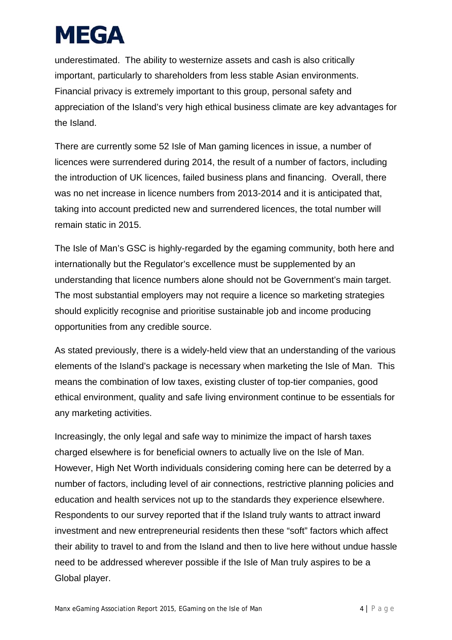underestimated. The ability to westernize assets and cash is also critically important, particularly to shareholders from less stable Asian environments. Financial privacy is extremely important to this group, personal safety and appreciation of the Island's very high ethical business climate are key advantages for the Island.

There are currently some 52 Isle of Man gaming licences in issue, a number of licences were surrendered during 2014, the result of a number of factors, including the introduction of UK licences, failed business plans and financing. Overall, there was no net increase in licence numbers from 2013-2014 and it is anticipated that, taking into account predicted new and surrendered licences, the total number will remain static in 2015.

The Isle of Man's GSC is highly-regarded by the egaming community, both here and internationally but the Regulator's excellence must be supplemented by an understanding that licence numbers alone should not be Government's main target. The most substantial employers may not require a licence so marketing strategies should explicitly recognise and prioritise sustainable job and income producing opportunities from any credible source.

As stated previously, there is a widely-held view that an understanding of the various elements of the Island's package is necessary when marketing the Isle of Man. This means the combination of low taxes, existing cluster of top-tier companies, good ethical environment, quality and safe living environment continue to be essentials for any marketing activities.

Increasingly, the only legal and safe way to minimize the impact of harsh taxes charged elsewhere is for beneficial owners to actually live on the Isle of Man. However, High Net Worth individuals considering coming here can be deterred by a number of factors, including level of air connections, restrictive planning policies and education and health services not up to the standards they experience elsewhere. Respondents to our survey reported that if the Island truly wants to attract inward investment and new entrepreneurial residents then these "soft" factors which affect their ability to travel to and from the Island and then to live here without undue hassle need to be addressed wherever possible if the Isle of Man truly aspires to be a Global player.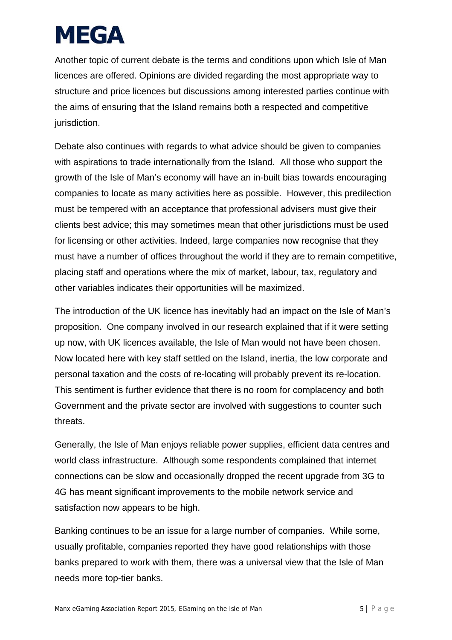Another topic of current debate is the terms and conditions upon which Isle of Man licences are offered. Opinions are divided regarding the most appropriate way to structure and price licences but discussions among interested parties continue with the aims of ensuring that the Island remains both a respected and competitive jurisdiction.

Debate also continues with regards to what advice should be given to companies with aspirations to trade internationally from the Island. All those who support the growth of the Isle of Man's economy will have an in-built bias towards encouraging companies to locate as many activities here as possible. However, this predilection must be tempered with an acceptance that professional advisers must give their clients best advice; this may sometimes mean that other jurisdictions must be used for licensing or other activities. Indeed, large companies now recognise that they must have a number of offices throughout the world if they are to remain competitive, placing staff and operations where the mix of market, labour, tax, regulatory and other variables indicates their opportunities will be maximized.

The introduction of the UK licence has inevitably had an impact on the Isle of Man's proposition. One company involved in our research explained that if it were setting up now, with UK licences available, the Isle of Man would not have been chosen. Now located here with key staff settled on the Island, inertia, the low corporate and personal taxation and the costs of re-locating will probably prevent its re-location. This sentiment is further evidence that there is no room for complacency and both Government and the private sector are involved with suggestions to counter such threats.

Generally, the Isle of Man enjoys reliable power supplies, efficient data centres and world class infrastructure. Although some respondents complained that internet connections can be slow and occasionally dropped the recent upgrade from 3G to 4G has meant significant improvements to the mobile network service and satisfaction now appears to be high.

Banking continues to be an issue for a large number of companies. While some, usually profitable, companies reported they have good relationships with those banks prepared to work with them, there was a universal view that the Isle of Man needs more top-tier banks.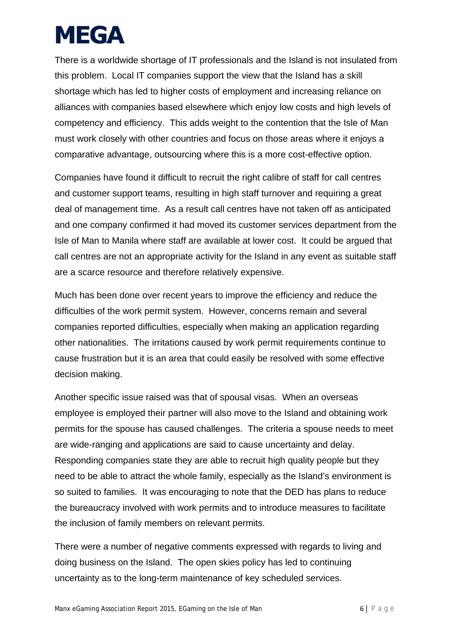There is a worldwide shortage of IT professionals and the Island is not insulated from this problem. Local IT companies support the view that the Island has a skill shortage which has led to higher costs of employment and increasing reliance on alliances with companies based elsewhere which enjoy low costs and high levels of competency and efficiency. This adds weight to the contention that the Isle of Man must work closely with other countries and focus on those areas where it enjoys a comparative advantage, outsourcing where this is a more cost-effective option.

Companies have found it difficult to recruit the right calibre of staff for call centres and customer support teams, resulting in high staff turnover and requiring a great deal of management time. As a result call centres have not taken off as anticipated and one company confirmed it had moved its customer services department from the Isle of Man to Manila where staff are available at lower cost. It could be argued that call centres are not an appropriate activity for the Island in any event as suitable staff are a scarce resource and therefore relatively expensive.

Much has been done over recent years to improve the efficiency and reduce the difficulties of the work permit system. However, concerns remain and several companies reported difficulties, especially when making an application regarding other nationalities. The irritations caused by work permit requirements continue to cause frustration but it is an area that could easily be resolved with some effective decision making.

Another specific issue raised was that of spousal visas. When an overseas employee is employed their partner will also move to the Island and obtaining work permits for the spouse has caused challenges. The criteria a spouse needs to meet are wide-ranging and applications are said to cause uncertainty and delay. Responding companies state they are able to recruit high quality people but they need to be able to attract the whole family, especially as the Island's environment is so suited to families. It was encouraging to note that the DED has plans to reduce the bureaucracy involved with work permits and to introduce measures to facilitate the inclusion of family members on relevant permits.

There were a number of negative comments expressed with regards to living and doing business on the Island. The open skies policy has led to continuing uncertainty as to the long-term maintenance of key scheduled services.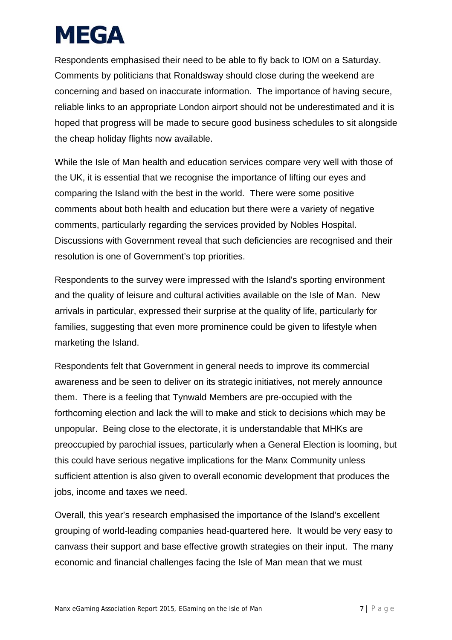Respondents emphasised their need to be able to fly back to IOM on a Saturday. Comments by politicians that Ronaldsway should close during the weekend are concerning and based on inaccurate information. The importance of having secure, reliable links to an appropriate London airport should not be underestimated and it is hoped that progress will be made to secure good business schedules to sit alongside the cheap holiday flights now available.

While the Isle of Man health and education services compare very well with those of the UK, it is essential that we recognise the importance of lifting our eyes and comparing the Island with the best in the world. There were some positive comments about both health and education but there were a variety of negative comments, particularly regarding the services provided by Nobles Hospital. Discussions with Government reveal that such deficiencies are recognised and their resolution is one of Government's top priorities.

Respondents to the survey were impressed with the Island's sporting environment and the quality of leisure and cultural activities available on the Isle of Man. New arrivals in particular, expressed their surprise at the quality of life, particularly for families, suggesting that even more prominence could be given to lifestyle when marketing the Island.

Respondents felt that Government in general needs to improve its commercial awareness and be seen to deliver on its strategic initiatives, not merely announce them. There is a feeling that Tynwald Members are pre-occupied with the forthcoming election and lack the will to make and stick to decisions which may be unpopular. Being close to the electorate, it is understandable that MHKs are preoccupied by parochial issues, particularly when a General Election is looming, but this could have serious negative implications for the Manx Community unless sufficient attention is also given to overall economic development that produces the jobs, income and taxes we need.

Overall, this year's research emphasised the importance of the Island's excellent grouping of world-leading companies head-quartered here. It would be very easy to canvass their support and base effective growth strategies on their input. The many economic and financial challenges facing the Isle of Man mean that we must